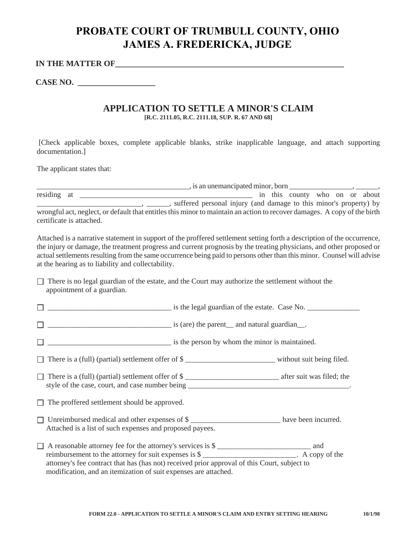## **PROBATE COURT OF TRUMBULL COUNTY, OHIO JAMES A. FREDERICKA, JUDGE**

## **IN THE MATTER OF\_\_\_\_\_\_\_\_\_\_\_\_\_\_\_\_\_\_\_\_\_\_\_\_\_\_\_\_\_\_\_\_\_\_\_\_\_\_\_\_\_\_\_\_\_\_\_\_\_\_\_\_\_\_\_\_**

**CASE NO. \_\_\_\_\_\_\_\_\_\_\_\_\_\_\_\_\_\_\_** 

## **APPLICATION TO SETTLE A MINOR'S CLAIM [R.C. 2111.05, R.C. 2111.18, SUP. R. 67 AND 68]**

 [Check applicable boxes, complete applicable blanks, strike inapplicable language, and attach supporting documentation.]

The applicant states that:

|                          |                                                                                                                          | $\therefore$ , is an unemancipated minor, born $\frac{\qquad \qquad }{\qquad \qquad }$ |  |  |                                |  |  |  |
|--------------------------|--------------------------------------------------------------------------------------------------------------------------|----------------------------------------------------------------------------------------|--|--|--------------------------------|--|--|--|
| residing at              |                                                                                                                          |                                                                                        |  |  | in this county who on or about |  |  |  |
|                          |                                                                                                                          | suffered personal injury (and damage to this minor's property) by                      |  |  |                                |  |  |  |
|                          | wrongful act, neglect, or default that entitles this minor to maintain an action to recover damages. A copy of the birth |                                                                                        |  |  |                                |  |  |  |
| certificate is attached. |                                                                                                                          |                                                                                        |  |  |                                |  |  |  |

Attached is a narrative statement in support of the proffered settlement setting forth a description of the occurrence, the injury or damage, the treatment progress and current prognosis by the treating physicians, and other proposed or actual settlements resulting from the same occurrence being paid to persons other than this minor. Counsel will advise at the hearing as to liability and collectability.

| $\Box$ There is no legal guardian of the estate, and the Court may authorize the settlement without the |  |  |  |
|---------------------------------------------------------------------------------------------------------|--|--|--|
| appointment of a guardian.                                                                              |  |  |  |

| $\frac{1}{2}$ is the legal guardian of the estate. Case No.                                                                                                                                                                                                                             |
|-----------------------------------------------------------------------------------------------------------------------------------------------------------------------------------------------------------------------------------------------------------------------------------------|
| is (are) the parent and natural guardian                                                                                                                                                                                                                                                |
| $\frac{1}{2}$ is the person by whom the minor is maintained.                                                                                                                                                                                                                            |
| There is a (full) (partial) settlement offer of \$                                                                                                                                                                                                                                      |
| There is a (full) (partial) settlement offer of \$                                                                                                                                                                                                                                      |
|                                                                                                                                                                                                                                                                                         |
| Unreimbursed medical and other expenses of \$<br>Attached is a list of such expenses and proposed payees.                                                                                                                                                                               |
| A reasonable attorney fee for the attorney's services is \$<br>reimbursement to the attorney for suit expenses is \$<br>attorney's fee contract that has (has not) received prior approval of this Court, subject to<br>modification, and an itemization of suit expenses are attached. |
|                                                                                                                                                                                                                                                                                         |